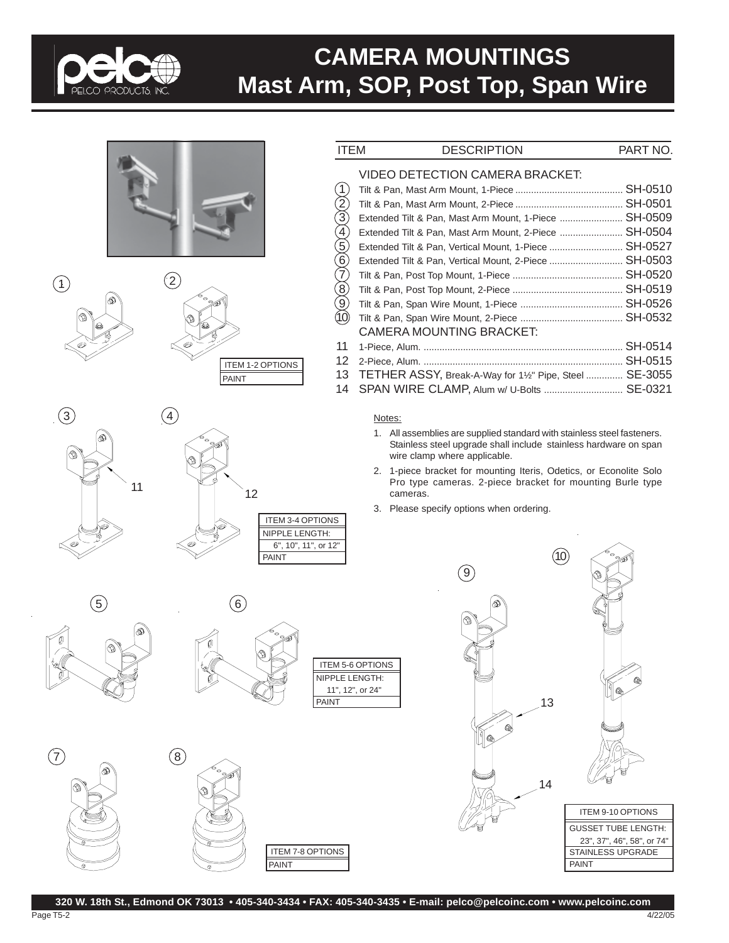

# **CAMERA MOUNTINGS Mast Arm, SOP, Post Top, Span Wire**













 $\circled{6}$ 







| <b>ITEM</b>             | <b>DESCRIPTION</b>                                                  | PART NO. |
|-------------------------|---------------------------------------------------------------------|----------|
|                         | VIDEO DETECTION CAMERA BRACKET:                                     |          |
| (1)                     |                                                                     |          |
|                         |                                                                     |          |
|                         | Extended Tilt & Pan, Mast Arm Mount, 1-Piece  SH-0509               |          |
|                         | Extended Tilt & Pan, Mast Arm Mount, 2-Piece  SH-0504               |          |
|                         | Extended Tilt & Pan, Vertical Mount, 1-Piece  SH-0527               |          |
| (9) @ (9) @ (9) @ (9) @ | Extended Tilt & Pan, Vertical Mount, 2-Piece  SH-0503               |          |
|                         |                                                                     |          |
|                         |                                                                     |          |
|                         |                                                                     |          |
|                         |                                                                     |          |
|                         | CAMERA MOUNTING BRACKET:                                            |          |
| 11                      |                                                                     |          |
| 12                      |                                                                     |          |
| 13                      | TETHER ASSY, Break-A-Way for 1 <sup>1/2"</sup> Pipe, Steel  SE-3055 |          |
| 14                      | SPAN WIRE CLAMP, Alum w/ U-Bolts  SE-0321                           |          |
|                         |                                                                     |          |

## Notes:

- 1. All assemblies are supplied standard with stainless steel fasteners. Stainless steel upgrade shall include stainless hardware on span wire clamp where applicable.
- 2. 1-piece bracket for mounting Iteris, Odetics, or Econolite Solo Pro type cameras. 2-piece bracket for mounting Burle type cameras.
- 3. Please specify options when ordering.

 $(9)$  $14$ 13 GUSSET TUBE LENGTH: 23", 37", 46", 58", or 74" STAINLESS UPGRADE PAINT ITEM 9-10 OPTIONS

 $(10)$ 

**320 W. 18th St., Edmond OK 73013 • 405-340-3434 • FAX: 405-340-3435 • E-mail: pelco@pelcoinc.com • www.pelcoinc.com**